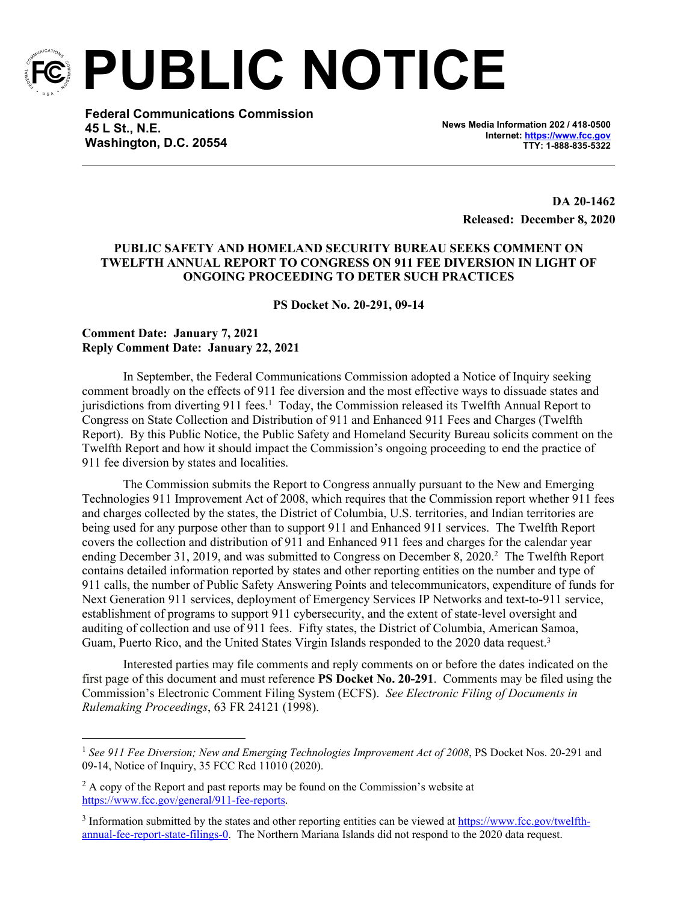

**PUBLIC NOTICE**

**Federal Communications Commission 45 L St., N.E. Washington, D.C. 20554**

**News Media Information 202 / 418-0500 Internet:<https://www.fcc.gov> TTY: 1-888-835-5322**

> **DA 20-1462 Released: December 8, 2020**

## **PUBLIC SAFETY AND HOMELAND SECURITY BUREAU SEEKS COMMENT ON TWELFTH ANNUAL REPORT TO CONGRESS ON 911 FEE DIVERSION IN LIGHT OF ONGOING PROCEEDING TO DETER SUCH PRACTICES**

**PS Docket No. 20-291, 09-14**

## **Comment Date: January 7, 2021 Reply Comment Date: January 22, 2021**

In September, the Federal Communications Commission adopted a Notice of Inquiry seeking comment broadly on the effects of 911 fee diversion and the most effective ways to dissuade states and jurisdictions from diverting 911 fees.<sup>1</sup> Today, the Commission released its Twelfth Annual Report to Congress on State Collection and Distribution of 911 and Enhanced 911 Fees and Charges (Twelfth Report). By this Public Notice, the Public Safety and Homeland Security Bureau solicits comment on the Twelfth Report and how it should impact the Commission's ongoing proceeding to end the practice of 911 fee diversion by states and localities.

The Commission submits the Report to Congress annually pursuant to the New and Emerging Technologies 911 Improvement Act of 2008, which requires that the Commission report whether 911 fees and charges collected by the states, the District of Columbia, U.S. territories, and Indian territories are being used for any purpose other than to support 911 and Enhanced 911 services. The Twelfth Report covers the collection and distribution of 911 and Enhanced 911 fees and charges for the calendar year ending December 31, 2019, and was submitted to Congress on December 8, 2020.<sup>2</sup> The Twelfth Report contains detailed information reported by states and other reporting entities on the number and type of 911 calls, the number of Public Safety Answering Points and telecommunicators, expenditure of funds for Next Generation 911 services, deployment of Emergency Services IP Networks and text-to-911 service, establishment of programs to support 911 cybersecurity, and the extent of state-level oversight and auditing of collection and use of 911 fees. Fifty states, the District of Columbia, American Samoa, Guam, Puerto Rico, and the United States Virgin Islands responded to the 2020 data request.<sup>3</sup>

Interested parties may file comments and reply comments on or before the dates indicated on the first page of this document and must reference **PS Docket No. 20-291**. Comments may be filed using the Commission's Electronic Comment Filing System (ECFS). *See Electronic Filing of Documents in Rulemaking Proceedings*, 63 FR 24121 (1998).

<sup>1</sup> *See 911 Fee Diversion; New and Emerging Technologies Improvement Act of 2008*, PS Docket Nos. 20-291 and 09-14, Notice of Inquiry, 35 FCC Rcd 11010 (2020).

<sup>&</sup>lt;sup>2</sup> A copy of the Report and past reports may be found on the Commission's website at <https://www.fcc.gov/general/911-fee-reports>.

<sup>&</sup>lt;sup>3</sup> Information submitted by the states and other reporting entities can be viewed at [https://www.fcc.gov/twelfth](https://www.fcc.gov/twelfth-annual-fee-report-state-filings-0)[annual-fee-report-state-filings-0](https://www.fcc.gov/twelfth-annual-fee-report-state-filings-0). The Northern Mariana Islands did not respond to the 2020 data request.